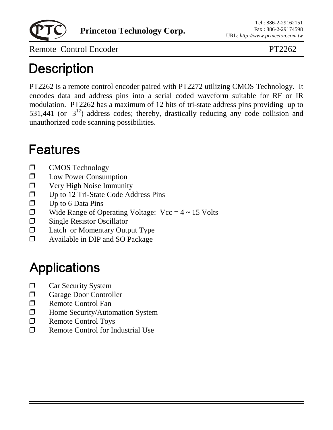

**Princeton Technology Corp.**

Remote Control Encoder PT2262

## **Description**

PT2262 is a remote control encoder paired with PT2272 utilizing CMOS Technology. It encodes data and address pins into a serial coded waveform suitable for RF or IR modulation. PT2262 has a maximum of 12 bits of tri-state address pins providing up to 531,441 (or  $3^{12}$ ) address codes; thereby, drastically reducing any code collision and unauthorized code scanning possibilities.

### **Features**

- **I** CMOS Technology
- **I.** Low Power Consumption
- $\Box$  Very High Noise Immunity
- $\Box$  Up to 12 Tri-State Code Address Pins
- $\Box$  Up to 6 Data Pins
- $\Box$  Wide Range of Operating Voltage: Vcc = 4 ~ 15 Volts
- $\Box$  Single Resistor Oscillator
- $\Box$  Latch or Momentary Output Type
- ! Available in DIP and SO Package

# **Applications**

- $\Box$  Car Security System
- $\Box$  Garage Door Controller
- $\Box$  Remote Control Fan
- **I** Home Security/Automation System
- $\Box$  Remote Control Toys
- $\Box$  Remote Control for Industrial Use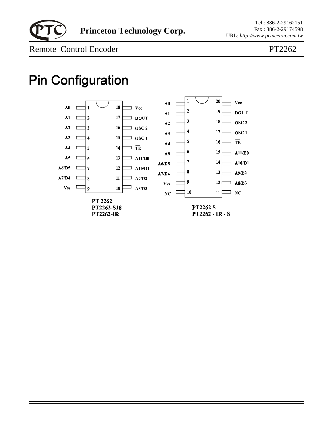

Tel : 886-2-29162151 Fax : 886-2-29174598 URL: *http://www.princeton.com.tw*

Remote Control Encoder PT2262

## **Pin Configuration**

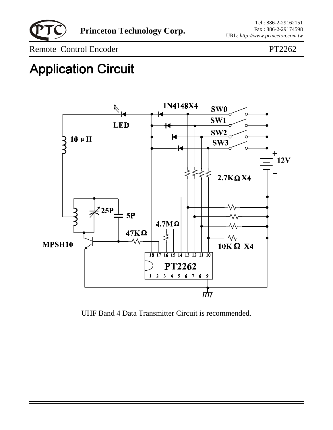

Remote Control Encoder PT2262

## **Application Circuit**



UHF Band 4 Data Transmitter Circuit is recommended.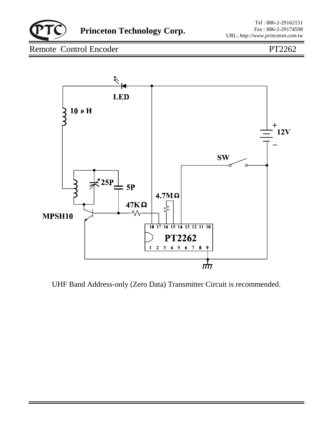

**Princeton Technology Corp.**

### Remote Control Encoder PT2262



UHF Band Address-only (Zero Data) Transmitter Circuit is recommended.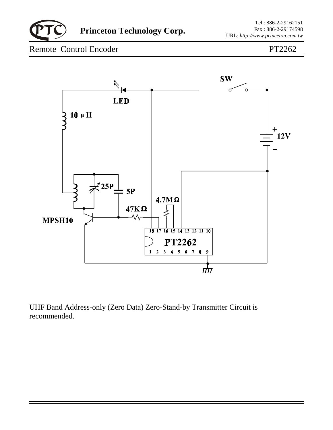

**Princeton Technology Corp.**

### Remote Control Encoder PT2262



UHF Band Address-only (Zero Data) Zero-Stand-by Transmitter Circuit is recommended.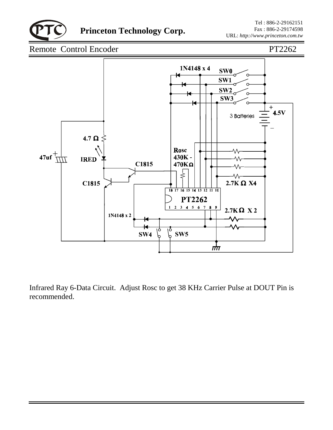

#### Remote Control Encoder PT2262



Infrared Ray 6-Data Circuit. Adjust Rosc to get 38 KHz Carrier Pulse at DOUT Pin is recommended.